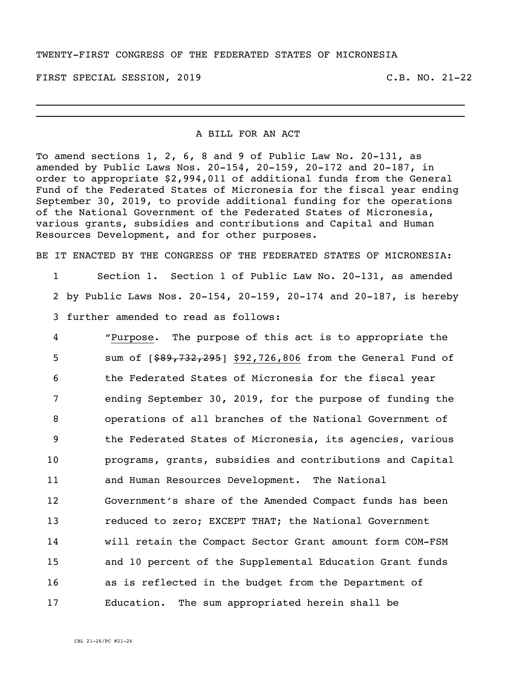#### TWENTY-FIRST CONGRESS OF THE FEDERATED STATES OF MICRONESIA

FIRST SPECIAL SESSION, 2019 C.B. NO. 21-22

#### A BILL FOR AN ACT

\_\_\_\_\_\_\_\_\_\_\_\_\_\_\_\_\_\_\_\_\_\_\_\_\_\_\_\_\_\_\_\_\_\_\_\_\_\_\_\_\_\_\_\_\_\_\_\_\_\_\_\_\_\_\_\_\_\_\_\_\_\_\_\_\_\_\_\_\_\_ \_\_\_\_\_\_\_\_\_\_\_\_\_\_\_\_\_\_\_\_\_\_\_\_\_\_\_\_\_\_\_\_\_\_\_\_\_\_\_\_\_\_\_\_\_\_\_\_\_\_\_\_\_\_\_\_\_\_\_\_\_\_\_\_\_\_\_\_\_\_

To amend sections 1, 2, 6, 8 and 9 of Public Law No. 20-131, as amended by Public Laws Nos. 20-154, 20-159, 20-172 and 20-187, in order to appropriate \$2,994,011 of additional funds from the General Fund of the Federated States of Micronesia for the fiscal year ending September 30, 2019, to provide additional funding for the operations of the National Government of the Federated States of Micronesia, various grants, subsidies and contributions and Capital and Human Resources Development, and for other purposes.

BE IT ENACTED BY THE CONGRESS OF THE FEDERATED STATES OF MICRONESIA:

1 Section 1. Section 1 of Public Law No. 20-131, as amended 2 by Public Laws Nos. 20-154, 20-159, 20-174 and 20-187, is hereby 3 further amended to read as follows:

 "Purpose. The purpose of this act is to appropriate the 5 sum of  $[$ \$89,732,295] \$92,726,806 from the General Fund of the Federated States of Micronesia for the fiscal year ending September 30, 2019, for the purpose of funding the operations of all branches of the National Government of the Federated States of Micronesia, its agencies, various programs, grants, subsidies and contributions and Capital and Human Resources Development. The National Government's share of the Amended Compact funds has been reduced to zero; EXCEPT THAT; the National Government will retain the Compact Sector Grant amount form COM-FSM and 10 percent of the Supplemental Education Grant funds as is reflected in the budget from the Department of Education. The sum appropriated herein shall be

CBL 21-26/PC #21-26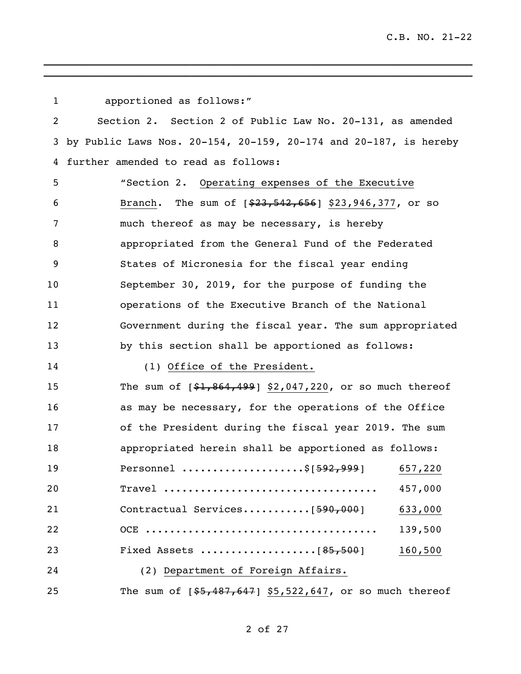| $\mathbf{1}$ | apportioned as follows:"                                                    |
|--------------|-----------------------------------------------------------------------------|
| 2            | Section 2. Section 2 of Public Law No. 20-131, as amended                   |
| 3            | by Public Laws Nos. $20-154$ , $20-159$ , $20-174$ and $20-187$ , is hereby |
| 4            | further amended to read as follows:                                         |
| 5            | "Section 2. Operating expenses of the Executive                             |
| 6            | Branch. The sum of [\$23,542,656] \$23,946,377, or so                       |
| 7            | much thereof as may be necessary, is hereby                                 |
| 8            | appropriated from the General Fund of the Federated                         |
| 9            | States of Micronesia for the fiscal year ending                             |
| 10           | September 30, 2019, for the purpose of funding the                          |
| 11           | operations of the Executive Branch of the National                          |
| 12           | Government during the fiscal year. The sum appropriated                     |
| 13           | by this section shall be apportioned as follows:                            |
| 14           | (1) Office of the President.                                                |
| 15           | The sum of $[$1,864,499]$ \$2,047,220, or so much thereof                   |
| 16           | as may be necessary, for the operations of the Office                       |
| 17           | of the President during the fiscal year 2019. The sum                       |
| 18           | appropriated herein shall be apportioned as follows:                        |
| 19           | Personnel \$[592,999] 657,220                                               |
| 20           | Travel<br>457,000                                                           |
| 21           | Contractual Services $[590,000]$<br>633,000                                 |
| 22           | 139,500                                                                     |
| 23           | 160,500                                                                     |
| 24           | (2) Department of Foreign Affairs.                                          |
| 25           | The sum of $[$5,487,647]$ \$5,522,647, or so much thereof                   |

 $\mathcal{L}_\text{max} = \mathcal{L}_\text{max} = \mathcal{L}_\text{max} = \mathcal{L}_\text{max} = \mathcal{L}_\text{max} = \mathcal{L}_\text{max} = \mathcal{L}_\text{max} = \mathcal{L}_\text{max}$ 

# of 27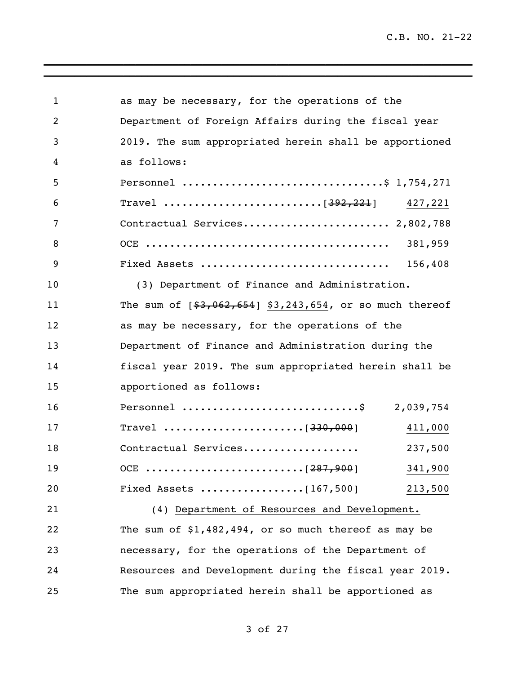| $\mathbf 1$    | as may be necessary, for the operations of the                                 |
|----------------|--------------------------------------------------------------------------------|
| $\overline{2}$ | Department of Foreign Affairs during the fiscal year                           |
| 3              | 2019. The sum appropriated herein shall be apportioned                         |
| 4              | as follows:                                                                    |
| 5              | Personnel \$ 1,754,271                                                         |
| 6              |                                                                                |
| 7              | Contractual Services 2,802,788                                                 |
| 8              | 381,959                                                                        |
| 9              |                                                                                |
| 10             | (3) Department of Finance and Administration.                                  |
| 11             | The sum of $[$3,062,654]$ \$3,243,654, or so much thereof                      |
| 12             | as may be necessary, for the operations of the                                 |
| 13             | Department of Finance and Administration during the                            |
| 14             | fiscal year 2019. The sum appropriated herein shall be                         |
| 15             | apportioned as follows:                                                        |
| 16             | Personnel \$ 2,039,754                                                         |
| 17             | Travel $\ldots \ldots \ldots \ldots \ldots \ldots \ldots$ [330,000]<br>411,000 |
| 18             | Contractual Services<br>237,500                                                |
| 19             | 341,900                                                                        |
| 20             | 213,500                                                                        |
| 21             | (4) Department of Resources and Development.                                   |
| 22             | The sum of $$1,482,494$ , or so much thereof as may be                         |
| 23             | necessary, for the operations of the Department of                             |
| 24             | Resources and Development during the fiscal year 2019.                         |
| 25             | The sum appropriated herein shall be apportioned as                            |

of 27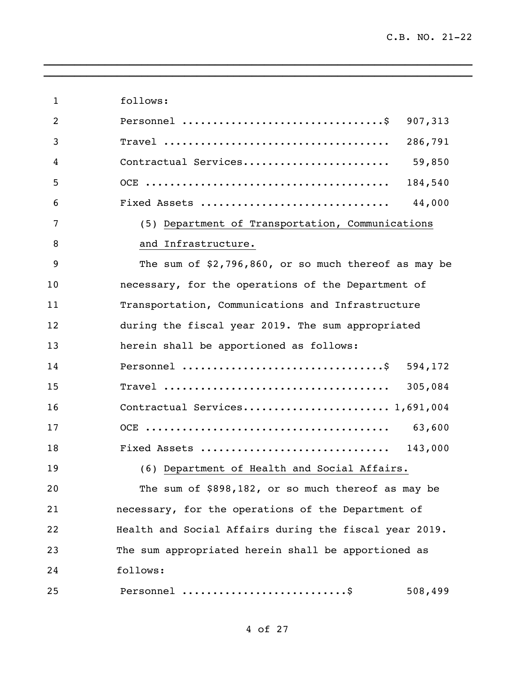follows: Personnel .................................\$ 907,313 Travel ..................................... 286,791 Contractual Services........................ 59,850 OCE ........................................ 184,540 Fixed Assets ............................... 44,000 (5) Department of Transportation, Communications 8 and Infrastructure. The sum of \$2,796,860, or so much thereof as may be necessary, for the operations of the Department of Transportation, Communications and Infrastructure during the fiscal year 2019. The sum appropriated herein shall be apportioned as follows: Personnel .................................\$ 594,172 Travel ..................................... 305,084 Contractual Services........................ 1,691,004 OCE ........................................ 63,600 Fixed Assets ............................... 143,000 (6) Department of Health and Social Affairs. The sum of \$898,182, or so much thereof as may be necessary, for the operations of the Department of Health and Social Affairs during the fiscal year 2019. The sum appropriated herein shall be apportioned as follows: Personnel ...........................\$ 508,499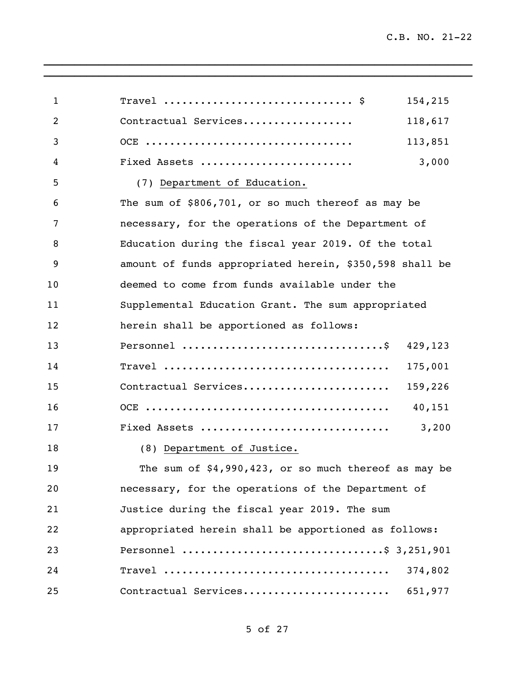| $\mathbf{1}$ | Travel $\hat{S}$                                        | 154,215 |
|--------------|---------------------------------------------------------|---------|
| 2            | Contractual Services                                    | 118,617 |
| 3            |                                                         | 113,851 |
| 4            | Fixed Assets                                            | 3,000   |
| 5            | (7) Department of Education.                            |         |
| 6            | The sum of \$806,701, or so much thereof as may be      |         |
| 7            | necessary, for the operations of the Department of      |         |
| 8            | Education during the fiscal year 2019. Of the total     |         |
| 9            | amount of funds appropriated herein, \$350,598 shall be |         |
| 10           | deemed to come from funds available under the           |         |
| 11           | Supplemental Education Grant. The sum appropriated      |         |
| 12           | herein shall be apportioned as follows:                 |         |
| 13           |                                                         | 429,123 |
| 14           |                                                         | 175,001 |
| 15           | Contractual Services                                    | 159,226 |
| 16           |                                                         | 40,151  |
| 17           | Fixed Assets                                            | 3,200   |
| 18           | (8) Department of Justice.                              |         |
| 19           | The sum of $$4,990,423$ , or so much thereof as may be  |         |
| 20           | necessary, for the operations of the Department of      |         |
| 21           | Justice during the fiscal year 2019. The sum            |         |
| 22           | appropriated herein shall be apportioned as follows:    |         |
| 23           | Personnel \$ 3,251,901                                  |         |
| 24           |                                                         | 374,802 |
| 25           | Contractual Services                                    | 651,977 |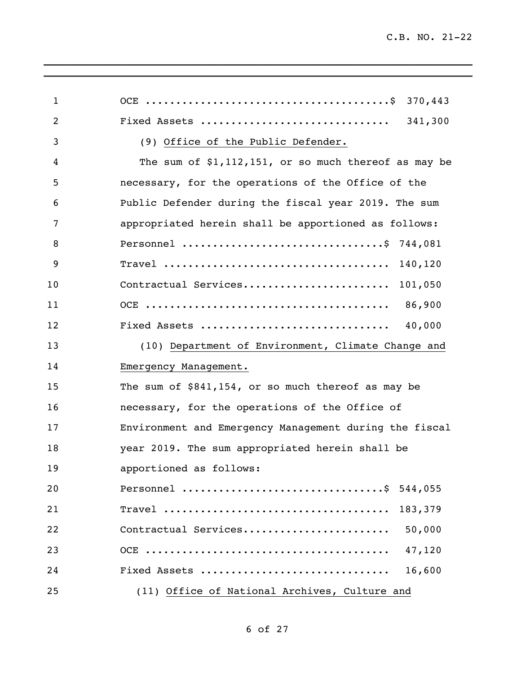| $\mathbf{1}$   | 370,443                                                |
|----------------|--------------------------------------------------------|
|                |                                                        |
| $\overline{2}$ | Fixed Assets<br>341,300                                |
| 3              | (9) Office of the Public Defender.                     |
| 4              | The sum of $$1,112,151$ , or so much thereof as may be |
| 5              | necessary, for the operations of the Office of the     |
| 6              | Public Defender during the fiscal year 2019. The sum   |
| 7              | appropriated herein shall be apportioned as follows:   |
| 8              | Personnel \$ 744,081                                   |
| 9              |                                                        |
| 10             | Contractual Services 101,050                           |
| 11             |                                                        |
| 12             |                                                        |
| 13             | (10) Department of Environment, Climate Change and     |
| 14             | Emergency Management.                                  |
| 15             | The sum of $$841,154$ , or so much thereof as may be   |
| 16             | necessary, for the operations of the Office of         |
| 17             | Environment and Emergency Management during the fiscal |
| 18             | year 2019. The sum appropriated herein shall be        |
| 19             | apportioned as follows:                                |
| 20             | Personnel \$ 544,055                                   |
| 21             | 183,379                                                |
| 22             | Contractual Services<br>50,000                         |
| 23             | 47,120                                                 |
| 24             | Fixed Assets<br>16,600                                 |
| 25             | (11) Office of National Archives, Culture and          |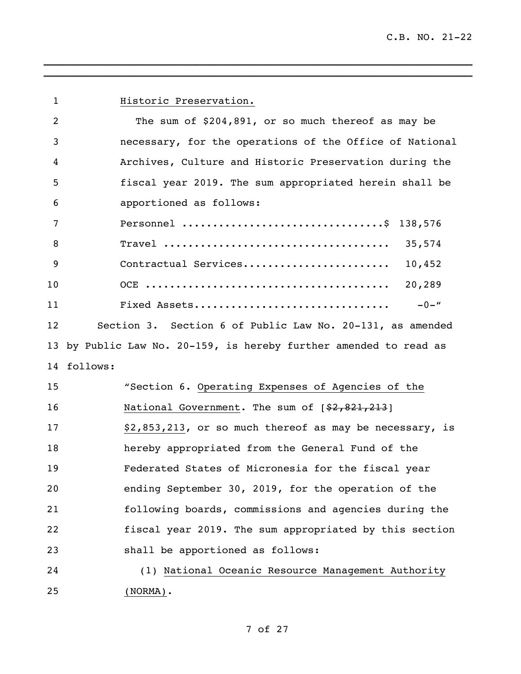**Historic Preservation.**  The sum of \$204,891, or so much thereof as may be necessary, for the operations of the Office of National Archives, Culture and Historic Preservation during the fiscal year 2019. The sum appropriated herein shall be apportioned as follows: Personnel .................................\$ 138,576 Travel ..................................... 35,574 9 Contractual Services.............................. 10,452 OCE ........................................ 20,289 Fixed Assets................................ -0-" Section 3. Section 6 of Public Law No. 20-131, as amended by Public Law No. 20-159, is hereby further amended to read as follows: "Section 6. Operating Expenses of Agencies of the 16 National Government. The sum of  $\{2,821,213\}$ 17 \$2,853,213, or so much thereof as may be necessary, is hereby appropriated from the General Fund of the Federated States of Micronesia for the fiscal year ending September 30, 2019, for the operation of the following boards, commissions and agencies during the fiscal year 2019. The sum appropriated by this section shall be apportioned as follows: (1) National Oceanic Resource Management Authority (NORMA).

\_\_\_\_\_\_\_\_\_\_\_\_\_\_\_\_\_\_\_\_\_\_\_\_\_\_\_\_\_\_\_\_\_\_\_\_\_\_\_\_\_\_\_\_\_\_\_\_\_\_\_\_\_\_\_\_\_\_\_\_\_\_\_\_\_\_\_\_\_\_ \_\_\_\_\_\_\_\_\_\_\_\_\_\_\_\_\_\_\_\_\_\_\_\_\_\_\_\_\_\_\_\_\_\_\_\_\_\_\_\_\_\_\_\_\_\_\_\_\_\_\_\_\_\_\_\_\_\_\_\_\_\_\_\_\_\_\_\_\_\_

### of 27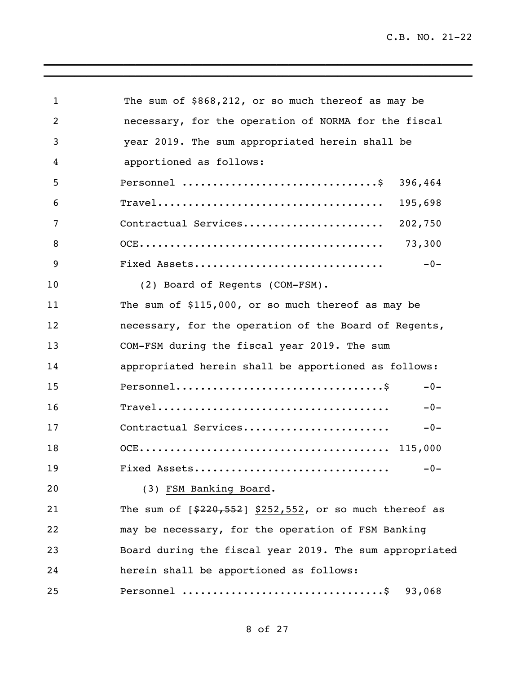C.B. NO. 21-22

| 1               | The sum of \$868,212, or so much thereof as may be                                                         |
|-----------------|------------------------------------------------------------------------------------------------------------|
| $\overline{2}$  | necessary, for the operation of NORMA for the fiscal                                                       |
| 3               | year 2019. The sum appropriated herein shall be                                                            |
| 4               | apportioned as follows:                                                                                    |
| 5               | Personnel $\dots\dots\dots\dots\dots\dots\dots\dots\dots\dots$<br>396,464                                  |
| 6               | 195,698<br>$\texttt{Travel} \dots \dots \dots \dots \dots \dots \dots \dots \dots \dots \dots \dots \dots$ |
| 7               | Contractual Services<br>202,750                                                                            |
| 8               | 73,300                                                                                                     |
| 9               | Fixed Assets<br>$-0-$                                                                                      |
| 10 <sub>o</sub> | (2) Board of Regents (COM-FSM).                                                                            |
| 11              | The sum of \$115,000, or so much thereof as may be                                                         |
| 12              | necessary, for the operation of the Board of Regents,                                                      |
| 13              | COM-FSM during the fiscal year 2019. The sum                                                               |
| 14              | appropriated herein shall be apportioned as follows:                                                       |
| 15              | $Personnel \ldots \ldots \ldots \ldots \ldots \ldots \ldots \ldots \ldots \ldots \$<br>$-0-$               |
| 16              | $\texttt{Travel}\dots\dots\dots\dots\dots\dots\dots\dots\dots\dots\dots\dots\dots\dots$<br>$-0-$           |
| 17              | Contractual Services<br>$-0-$                                                                              |
| 18              |                                                                                                            |
| 19              | Fixed Assets<br>$-0-$                                                                                      |
| 20              | (3) FSM Banking Board.                                                                                     |
| 21              | The sum of $[$220,552]$ \$252,552, or so much thereof as                                                   |
| 22              | may be necessary, for the operation of FSM Banking                                                         |
| 23              | Board during the fiscal year 2019. The sum appropriated                                                    |
| 24              | herein shall be apportioned as follows:                                                                    |
| 25              | 93,068                                                                                                     |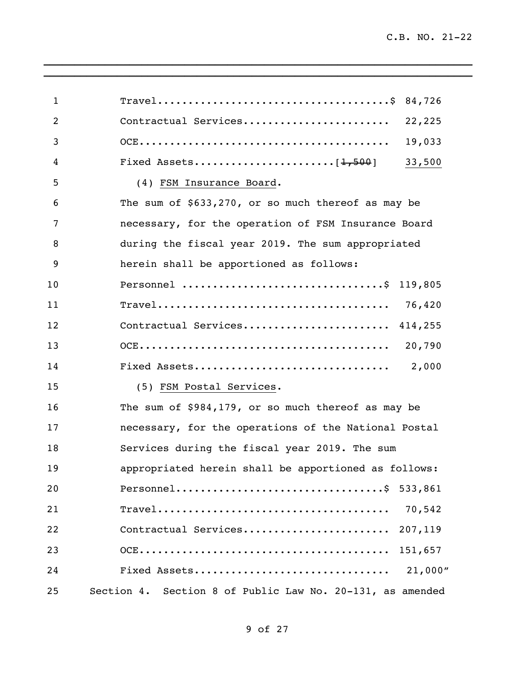| $\mathbf{1}$   |                                                                                                                 |
|----------------|-----------------------------------------------------------------------------------------------------------------|
| $\overline{2}$ | Contractual Services 22,225                                                                                     |
| 3              | 19,033                                                                                                          |
| 4              | 33,500                                                                                                          |
| 5              | (4) FSM Insurance Board.                                                                                        |
| 6              | The sum of $$633,270$ , or so much thereof as may be                                                            |
| 7              | necessary, for the operation of FSM Insurance Board                                                             |
| 8              | during the fiscal year 2019. The sum appropriated                                                               |
| 9              | herein shall be apportioned as follows:                                                                         |
| 10             | Personnel \$ 119,805                                                                                            |
| 11             |                                                                                                                 |
| 12             | Contractual Services 414,255                                                                                    |
| 13             |                                                                                                                 |
| 14             | Fixed Assets<br>2,000                                                                                           |
| 15             | (5) FSM Postal Services.                                                                                        |
| 16             | The sum of \$984,179, or so much thereof as may be                                                              |
| 17             | necessary, for the operations of the National Postal                                                            |
| 18             | Services during the fiscal year 2019. The sum                                                                   |
| 19             | appropriated herein shall be apportioned as follows:                                                            |
| 20             | Personnel\$ 533,861                                                                                             |
| 21             | 70,542<br>$\texttt{Travel} \dots \dots \dots \dots \dots \dots \dots \dots \dots \dots \dots \dots \dots \dots$ |
| 22             | Contractual Services<br>207,119                                                                                 |
| 23             | 151,657                                                                                                         |
| 24             | 21,000"<br>Fixed Assets                                                                                         |
| 25             | Section 4. Section 8 of Public Law No. 20-131, as amended                                                       |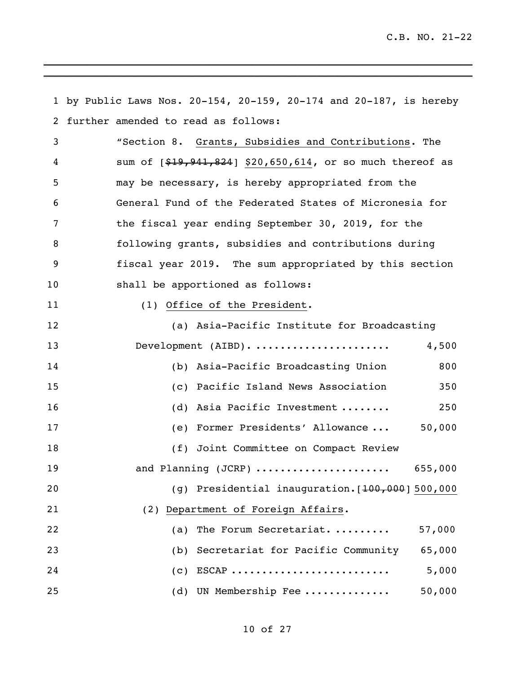by Public Laws Nos. 20-154, 20-159, 20-174 and 20-187, is hereby further amended to read as follows: "Section 8. Grants, Subsidies and Contributions. The 4 sum of  $[$19,941,824]$  \$20,650,614, or so much thereof as may be necessary, is hereby appropriated from the General Fund of the Federated States of Micronesia for the fiscal year ending September 30, 2019, for the following grants, subsidies and contributions during fiscal year 2019. The sum appropriated by this section shall be apportioned as follows: 11 (1) Office of the President. (a) Asia-Pacific Institute for Broadcasting Development (AIBD). ...................... 4,500 (b) Asia-Pacific Broadcasting Union 800 (c) Pacific Island News Association 350 16 (d) Asia Pacific Investment ........ 250 (e) Former Presidents' Allowance ... 50,000 18 (f) Joint Committee on Compact Review and Planning (JCRP) ...................... 655,000 20 (g) Presidential inauguration.[<del>100,000</del>] 500,000 (2) Department of Foreign Affairs. (a) The Forum Secretariat. ......... 57,000 (b) Secretariat for Pacific Community 65,000 (c) ESCAP .......................... 5,000 (d) UN Membership Fee .............. 50,000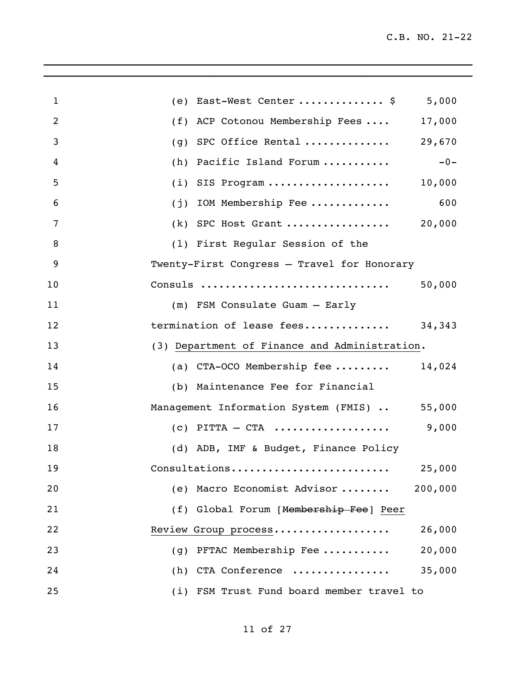| $\mathbf{1}$   | (e) East-West Center  \$                      | 5,000   |
|----------------|-----------------------------------------------|---------|
| $\overline{2}$ | (f) ACP Cotonou Membership Fees               | 17,000  |
| 3              | (g) SPC Office Rental                         | 29,670  |
| 4              | (h) Pacific Island Forum                      | $-0-$   |
| 5              | $(i)$ SIS Program                             | 10,000  |
| 6              | $(j)$ IOM Membership Fee                      | 600     |
| 7              | $(k)$ SPC Host Grant                          | 20,000  |
| 8              | (1) First Regular Session of the              |         |
| 9              | Twenty-First Congress - Travel for Honorary   |         |
| 10             | Consuls                                       | 50,000  |
| 11             | (m) FSM Consulate Guam - Early                |         |
| 12             | termination of lease fees 34,343              |         |
| 13             | (3) Department of Finance and Administration. |         |
| 14             | (a) CTA-OCO Membership fee $14,024$           |         |
| 15             | (b) Maintenance Fee for Financial             |         |
| 16             | Management Information System (FMIS)  55,000  |         |
| 17             | $(c)$ PITTA – CTA                             | 9,000   |
| 18             | (d) ADB, IMF & Budget, Finance Policy         |         |
| 19             | Consultations                                 | 25,000  |
| 20             | (e) Macro Economist Advisor                   | 200,000 |
| 21             | (f) Global Forum [Membership Fee] Peer        |         |
| 22             | Review Group process                          | 26,000  |
| 23             | (g) PFTAC Membership Fee                      | 20,000  |
| 24             | (h) CTA Conference                            | 35,000  |
| 25             | (i) FSM Trust Fund board member travel to     |         |

 $\mathcal{L}_\text{max} = \mathcal{L}_\text{max} = \mathcal{L}_\text{max} = \mathcal{L}_\text{max} = \mathcal{L}_\text{max} = \mathcal{L}_\text{max} = \mathcal{L}_\text{max} = \mathcal{L}_\text{max} = \mathcal{L}_\text{max} = \mathcal{L}_\text{max} = \mathcal{L}_\text{max} = \mathcal{L}_\text{max} = \mathcal{L}_\text{max} = \mathcal{L}_\text{max} = \mathcal{L}_\text{max} = \mathcal{L}_\text{max} = \mathcal{L}_\text{max} = \mathcal{L}_\text{max} = \mathcal{$ \_\_\_\_\_\_\_\_\_\_\_\_\_\_\_\_\_\_\_\_\_\_\_\_\_\_\_\_\_\_\_\_\_\_\_\_\_\_\_\_\_\_\_\_\_\_\_\_\_\_\_\_\_\_\_\_\_\_\_\_\_\_\_\_\_\_\_\_\_\_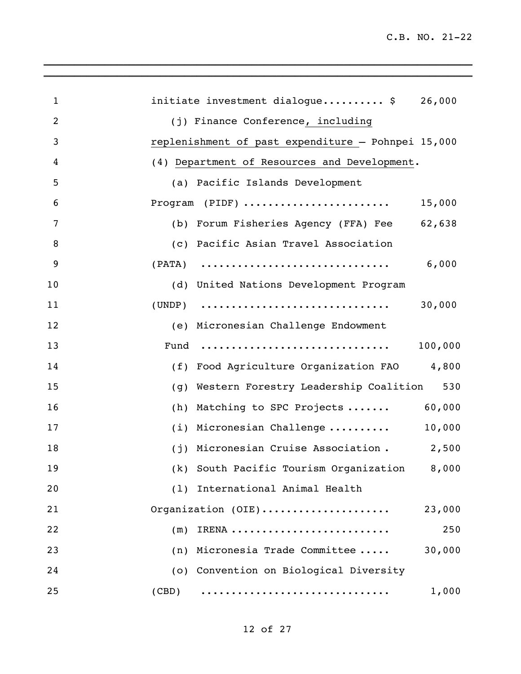| 1              | initiate investment dialogue $\frac{1}{2}$ 26,000  |
|----------------|----------------------------------------------------|
| $\overline{2}$ | (j) Finance Conference, including                  |
| 3              | replenishment of past expenditure - Pohnpei 15,000 |
| 4              | (4) Department of Resources and Development.       |
| 5              | (a) Pacific Islands Development                    |
| 6              | Program (PIDF)<br>15,000                           |
| 7              | (b) Forum Fisheries Agency (FFA) Fee 62,638        |
| 8              | (c) Pacific Asian Travel Association               |
| $\overline{9}$ | 6,000<br>$(PATA)$                                  |
| 10             | (d) United Nations Development Program             |
| 11             | 30,000<br>$(UNDP)$                                 |
| 12             | (e) Micronesian Challenge Endowment                |
| 13             | 100,000                                            |
| 14             | (f) Food Agriculture Organization FAO 4,800        |
| 15             | (g) Western Forestry Leadership Coalition<br>530   |
| 16             | 60,000<br>Matching to SPC Projects<br>(h)          |
| 17             | 10,000<br>(i) Micronesian Challenge                |
| 18             | 2,500<br>(j) Micronesian Cruise Association.       |
| 19             | (k) South Pacific Tourism Organization<br>8,000    |
| 20             | (1) International Animal Health                    |
| 21             | Organization (OIE)<br>23,000                       |
| 22             | 250<br>IRENA<br>(m)                                |
| 23             | 30,000<br>Micronesia Trade Committee<br>(n)        |
| 24             | (o) Convention on Biological Diversity             |
| 25             | 1,000<br>(CBD)                                     |

 $\mathcal{L}_\text{max} = \mathcal{L}_\text{max} = \mathcal{L}_\text{max} = \mathcal{L}_\text{max} = \mathcal{L}_\text{max} = \mathcal{L}_\text{max} = \mathcal{L}_\text{max} = \mathcal{L}_\text{max} = \mathcal{L}_\text{max} = \mathcal{L}_\text{max} = \mathcal{L}_\text{max} = \mathcal{L}_\text{max} = \mathcal{L}_\text{max} = \mathcal{L}_\text{max} = \mathcal{L}_\text{max} = \mathcal{L}_\text{max} = \mathcal{L}_\text{max} = \mathcal{L}_\text{max} = \mathcal{$  $\mathcal{L}_\text{max}$  and  $\mathcal{L}_\text{max}$  and  $\mathcal{L}_\text{max}$  and  $\mathcal{L}_\text{max}$  and  $\mathcal{L}_\text{max}$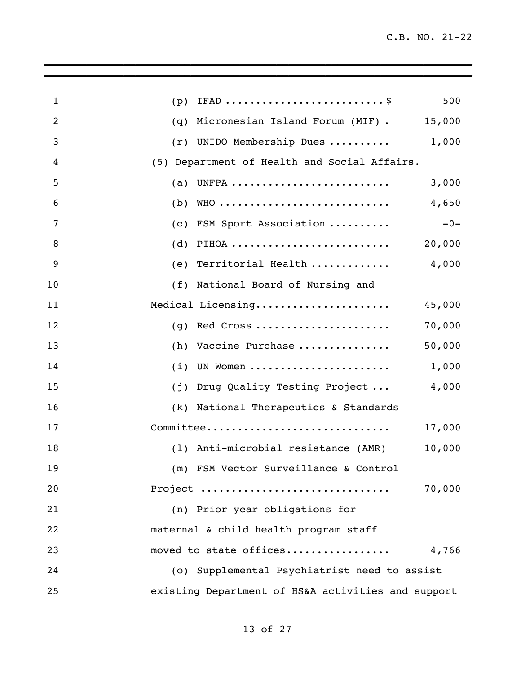| $\mathbf{1}$ | 500<br>(p)                                         |
|--------------|----------------------------------------------------|
| 2            | 15,000<br>Micronesian Island Forum (MIF).<br>(q)   |
| 3            | 1,000<br>UNIDO Membership Dues<br>(r)              |
| 4            | (5) Department of Health and Social Affairs.       |
| 5            | UNFPA<br>3,000<br>(a)                              |
| 6            | WHO<br>4,650<br>(b)                                |
| 7            | $-0-$<br>FSM Sport Association<br>(c)              |
| 8            | PIHOA<br>20,000<br>(d)                             |
| 9            | 4,000<br>(e) Territorial Health                    |
| 10           | National Board of Nursing and<br>(f)               |
| 11           | Medical Licensing<br>45,000                        |
| 12           | Red Cross<br>70,000<br>(q)                         |
| 13           | 50,000<br>Vaccine Purchase<br>(h)                  |
| 14           | UN Women<br>1,000<br>(i)                           |
| 15           | 4,000<br>Drug Quality Testing Project<br>(j)       |
| 16           | (k) National Therapeutics & Standards              |
| 17           | Committee<br>17,000                                |
| 18           | 10,000<br>(1) Anti-microbial resistance (AMR)      |
| 19           | (m) FSM Vector Surveillance & Control              |
| 20           | 70,000<br>Project                                  |
| 21           | (n) Prior year obligations for                     |
| 22           | maternal & child health program staff              |
| 23           | moved to state offices<br>4,766                    |
| 24           | (o) Supplemental Psychiatrist need to assist       |
| 25           | existing Department of HS&A activities and support |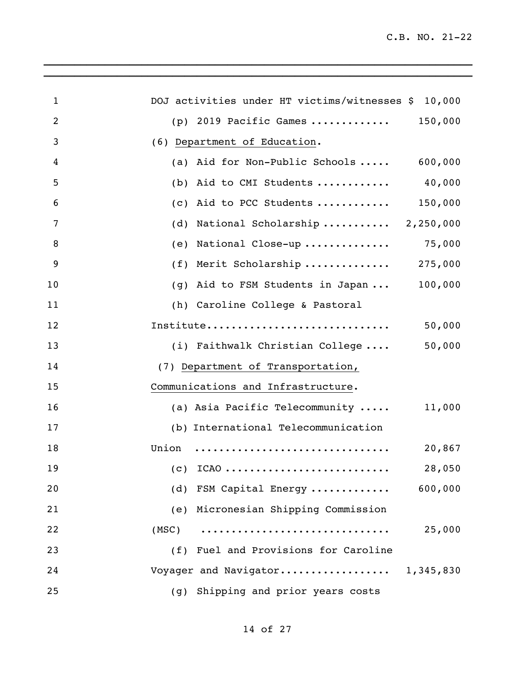| $\mathbf{1}$   | DOJ activities under HT victims/witnesses \$ 10,000 |         |
|----------------|-----------------------------------------------------|---------|
| 2              | (p) 2019 Pacific Games  150,000                     |         |
| $\mathfrak{Z}$ | (6) Department of Education.                        |         |
| 4              | (a) Aid for Non-Public Schools $600,000$            |         |
| 5              | (b) Aid to CMI Students $40,000$                    |         |
| 6              | (c) Aid to PCC Students $150,000$                   |         |
| $\overline{7}$ | (d) National Scholarship $2,250,000$                |         |
| 8              | (e) National Close-up $75,000$                      |         |
| 9              | (f) Merit Scholarship  275,000                      |         |
| 10             | (g) Aid to FSM Students in Japan                    | 100,000 |
| 11             | (h) Caroline College & Pastoral                     |         |
| 12             | Institute                                           | 50,000  |
| 13             | (i) Faithwalk Christian College                     | 50,000  |
| 14             | (7) Department of Transportation,                   |         |
| 15             | Communications and Infrastructure.                  |         |
| 16             | (a) Asia Pacific Telecommunity  11,000              |         |
| 17             | (b) International Telecommunication                 |         |
| 18             | Union                                               | 20,867  |
| 19             | $(c)$ ICAO                                          | 28,050  |
| 20             | (d) FSM Capital Energy                              | 600,000 |
| 21             | (e) Micronesian Shipping Commission                 |         |
| 22             | (MSC)                                               | 25,000  |
| 23             | (f) Fuel and Provisions for Caroline                |         |
| 24             | Voyager and Navigator 1,345,830                     |         |
| 25             | (g) Shipping and prior years costs                  |         |

 $\mathcal{L}_\text{max} = \mathcal{L}_\text{max} = \mathcal{L}_\text{max} = \mathcal{L}_\text{max} = \mathcal{L}_\text{max} = \mathcal{L}_\text{max} = \mathcal{L}_\text{max} = \mathcal{L}_\text{max} = \mathcal{L}_\text{max} = \mathcal{L}_\text{max} = \mathcal{L}_\text{max} = \mathcal{L}_\text{max} = \mathcal{L}_\text{max} = \mathcal{L}_\text{max} = \mathcal{L}_\text{max} = \mathcal{L}_\text{max} = \mathcal{L}_\text{max} = \mathcal{L}_\text{max} = \mathcal{$  $\_$  , and the set of the set of the set of the set of the set of the set of the set of the set of the set of the set of the set of the set of the set of the set of the set of the set of the set of the set of the set of th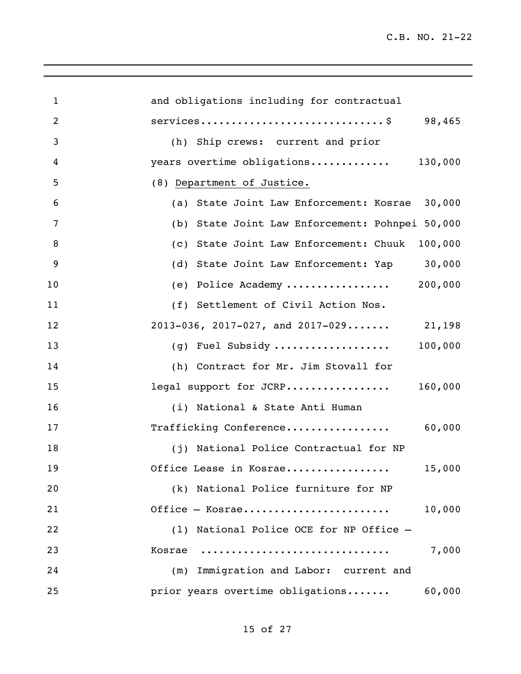| $\mathbf{1}$   | and obligations including for contractual       |
|----------------|-------------------------------------------------|
| $\overline{2}$ | services\$ 98,465                               |
| 3              | (h) Ship crews: current and prior               |
| 4              | years overtime obligations 130,000              |
| 5              | (8) Department of Justice.                      |
| 6              | (a) State Joint Law Enforcement: Kosrae 30,000  |
| 7              | (b) State Joint Law Enforcement: Pohnpei 50,000 |
| 8              | (c) State Joint Law Enforcement: Chuuk 100,000  |
| 9              | (d) State Joint Law Enforcement: Yap 30,000     |
| 10             | (e) Police Academy  200,000                     |
| 11             | (f) Settlement of Civil Action Nos.             |
| 12             | 2013-036, 2017-027, and 2017-029 21,198         |
| 13             | (g) Fuel Subsidy $100,000$                      |
| 14             | (h) Contract for Mr. Jim Stovall for            |
| 15             | legal support for JCRP<br>160,000               |
| 16             | (i) National & State Anti Human                 |
| 17             | Trafficking Conference<br>60,000                |
| 18             | (j) National Police Contractual for NP          |
| 19             | Office Lease in Kosrae<br>15,000                |
| 20             | (k) National Police furniture for NP            |
| 21             | Office - Kosrae<br>10,000                       |
| 22             | (1) National Police OCE for NP Office -         |
| 23             | 7,000<br>Kosrae                                 |
| 24             | (m) Immigration and Labor: current and          |
| 25             | prior years overtime obligations<br>60,000      |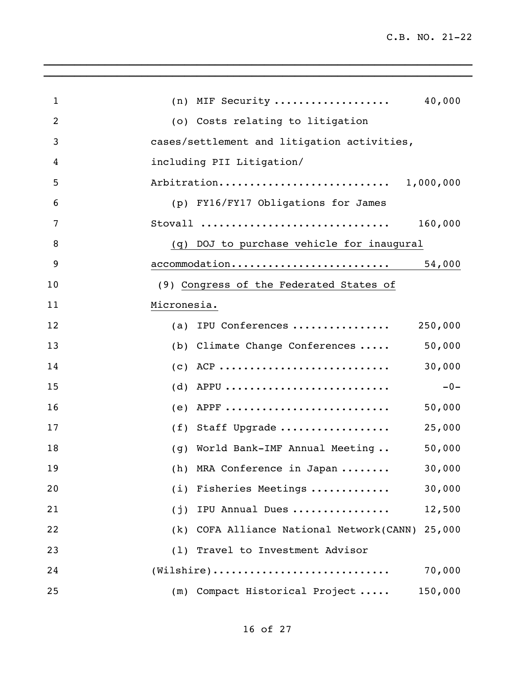| $\mathbf 1$    | (n) MIF Security<br>40,000                                                                          |
|----------------|-----------------------------------------------------------------------------------------------------|
| $\overline{2}$ | (o) Costs relating to litigation                                                                    |
| 3              | cases/settlement and litigation activities,                                                         |
| 4              | including PII Litigation/                                                                           |
| 5              | Arbitration 1,000,000                                                                               |
| 6              | (p) FY16/FY17 Obligations for James                                                                 |
| 7              | 160,000<br>Stovall                                                                                  |
| 8              | (q) DOJ to purchase vehicle for inaugural                                                           |
| 9              | $\text{accommodation} \ldots \ldots \ldots \ldots \ldots \ldots \ldots \ldots \qquad \qquad 54,000$ |
| 10             | (9) Congress of the Federated States of                                                             |
| 11             | Micronesia.                                                                                         |
| 12             | (a) IPU Conferences<br>250,000                                                                      |
| 13             | 50,000<br>(b) Climate Change Conferences                                                            |
| 14             | 30,000                                                                                              |
| 15             | (d) APPU<br>$-0-$                                                                                   |
| 16             | (e) APPF $\ldots$<br>50,000                                                                         |
| 17             | (f) Staff Upgrade<br>25,000                                                                         |
| 18             | 50,000<br>(g) World Bank-IMF Annual Meeting                                                         |
| 19             | (h) MRA Conference in Japan<br>30,000                                                               |
| 20             | (i) Fisheries Meetings<br>30,000                                                                    |
| 21             | 12,500<br>(j) IPU Annual Dues                                                                       |
| 22             | (k) COFA Alliance National Network(CANN) 25,000                                                     |
| 23             | (1) Travel to Investment Advisor                                                                    |
| 24             | $(Wilshire)$<br>70,000                                                                              |
| 25             | (m) Compact Historical Project<br>150,000                                                           |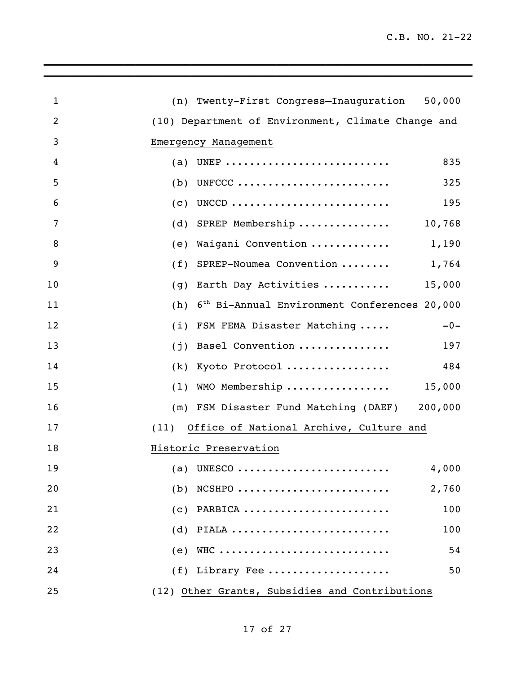| $\mathbf{1}$   | (n) Twenty-First Congress-Inauguration 50,000                   |
|----------------|-----------------------------------------------------------------|
| $\overline{2}$ | (10) Department of Environment, Climate Change and              |
| 3              | Emergency Management                                            |
| 4              | (a) UNEP<br>835                                                 |
| 5              | 325<br>UNFCCC<br>(b)                                            |
| 6              | UNCCD<br>195<br>(c)                                             |
| 7              | SPREP Membership 10,768<br>(d)                                  |
| 8              | Waigani Convention  1,190<br>(e)                                |
| 9              | SPREP-Noumea Convention  1,764<br>(f)                           |
| 10             | Earth Day Activities  15,000<br>(g)                             |
| 11             | 6 <sup>th</sup> Bi-Annual Environment Conferences 20,000<br>(h) |
| 12             | FSM FEMA Disaster Matching<br>(i)<br>$-0-$                      |
| 13             | Basel Convention<br>197<br>(j)                                  |
| 14             | Kyoto Protocol<br>484<br>(k)                                    |
| 15             | $(1)$ WMO Membership  15,000                                    |
| 16             | (m) FSM Disaster Fund Matching (DAEF) 200,000                   |
| 17             | Office of National Archive, Culture and<br>(11)                 |
| 18             | Historic Preservation                                           |
| 19             | 4,000                                                           |
| 20             | $NCSHPO$<br>2,760<br>(b)                                        |
| 21             | PARBICA<br>100<br>(C)                                           |
| 22             | PIALA<br>100<br>(d)                                             |
| 23             | (e) WHC<br>54                                                   |
| 24             | (f) Library Fee<br>50                                           |
| 25             | (12) Other Grants, Subsidies and Contributions                  |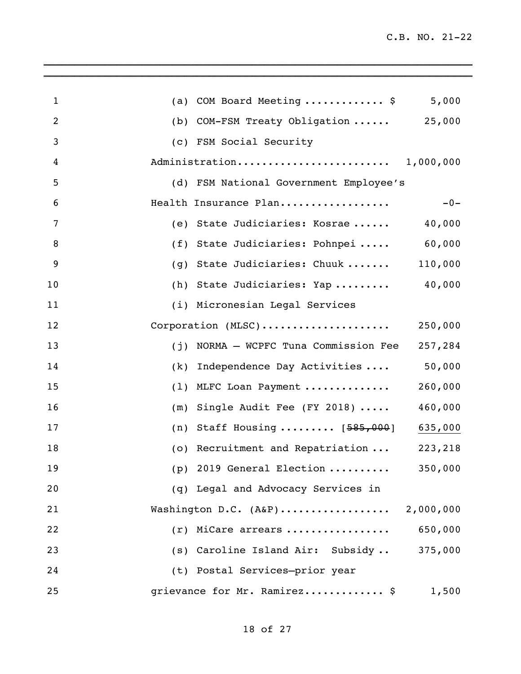| $\mathbf 1$    | 5,000<br>(a) COM Board Meeting  \$                          |
|----------------|-------------------------------------------------------------|
| $\overline{2}$ | (b) COM-FSM Treaty Obligation  25,000                       |
| 3              | (c) FSM Social Security                                     |
| $\overline{4}$ |                                                             |
| 5              | (d) FSM National Government Employee's                      |
| 6              | $-0-$<br>Health Insurance Plan                              |
| 7              | (e) State Judiciaries: Kosrae<br>40,000                     |
| 8              | (f) State Judiciaries: Pohnpei  60,000                      |
| 9              | State Judiciaries: Chuuk<br>110,000<br>(g)                  |
| 10             | (h) State Judiciaries: Yap  40,000                          |
| 11             | (i) Micronesian Legal Services                              |
| 12             | Corporation (MLSC)<br>250,000                               |
| 13             | NORMA - WCPFC Tuna Commission Fee<br>257,284<br>(j)         |
| 14             | 50,000<br>Independence Day Activities<br>(k)                |
| 15             | 260,000<br>MLFC Loan Payment<br>(1)                         |
| 16             | 460,000<br>Single Audit Fee (FY 2018) $\cdots$<br>(m)       |
| 17             | Staff Housing $[585,000]$<br>635,000<br>(n)                 |
| 18             | (o) Recruitment and Repatriation<br>223,218                 |
| 19             | (p) 2019 General Election $\ldots \ldots \ldots$<br>350,000 |
| 20             | (q) Legal and Advocacy Services in                          |
| 21             | Washington D.C. (A&P) 2,000,000                             |
| 22             | 650,000<br>$(r)$ MiCare arrears                             |
| 23             | (s) Caroline Island Air: Subsidy<br>375,000                 |
| 24             | (t) Postal Services-prior year                              |
| 25             | grievance for Mr. Ramirez \$<br>1,500                       |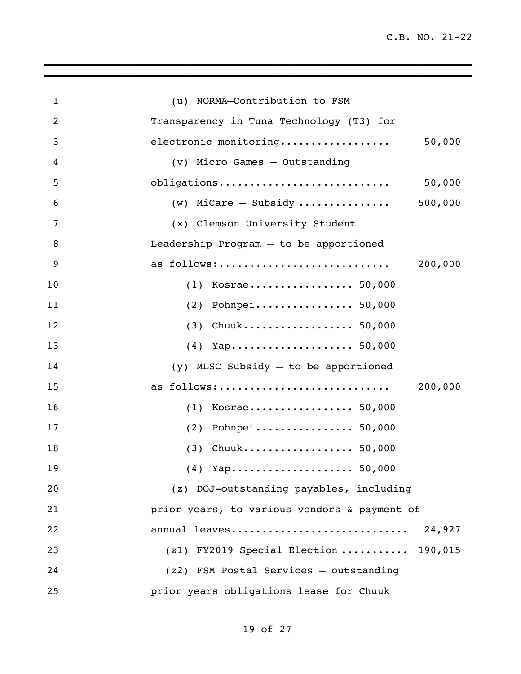| $\mathbf{1}$   | (u) NORMA-Contribution to FSM                |
|----------------|----------------------------------------------|
| $\overline{2}$ | Transparency in Tuna Technology (T3) for     |
| 3              | 50,000<br>electronic monitoring              |
| 4              | (v) Micro Games - Outstanding                |
| 5              | obligations<br>50,000                        |
| 6              | 500,000<br>$(w)$ MiCare - Subsidy            |
| 7              | (x) Clemson University Student               |
| 8              | Leadership Program - to be apportioned       |
| 9              | 200,000<br>as follows:                       |
| 10             | $(1)$ Kosrae 50,000                          |
| 11             | $(2)$ Pohnpei 50,000                         |
| 12             | $(3)$ Chuuk 50,000                           |
| 13             |                                              |
| 14             | $(y)$ MLSC Subsidy $-$ to be apportioned     |
| 15             | 200,000<br>as follows:                       |
| 16             | $(1)$ Kosrae 50,000                          |
| 17             | $(2)$ Pohnpei 50,000                         |
| 18             | $(3)$ Chuuk 50,000                           |
| 19             |                                              |
| 20             | (z) DOJ-outstanding payables, including      |
| 21             | prior years, to various vendors & payment of |
| 22             | annual leaves<br>24,927                      |
| 23             | $(z1)$ FY2019 Special Election  190,015      |
| 24             | (z2) FSM Postal Services - outstanding       |
| 25             | prior years obligations lease for Chuuk      |

 $\_$  , and the set of the set of the set of the set of the set of the set of the set of the set of the set of the set of the set of the set of the set of the set of the set of the set of the set of the set of the set of th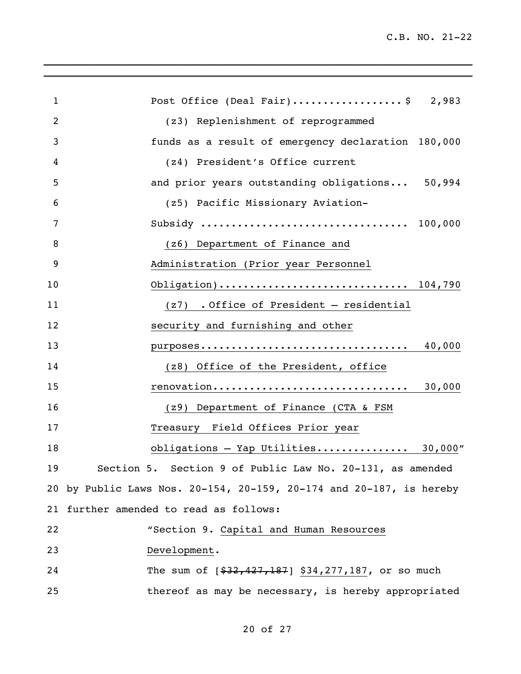| $\mathbf{1}$ | Post Office (Deal Fair)\$ 2,983                                     |
|--------------|---------------------------------------------------------------------|
| 2            | (z3) Replenishment of reprogrammed                                  |
| 3            | funds as a result of emergency declaration 180,000                  |
| 4            | (z4) President's Office current                                     |
| 5            | and prior years outstanding obligations 50,994                      |
| 6            | (z5) Pacific Missionary Aviation-                                   |
| 7            |                                                                     |
| 8            | (z6) Department of Finance and                                      |
| 9            | Administration (Prior year Personnel                                |
| 10           |                                                                     |
| 11           | $(z7)$ . Office of President - residential                          |
| 12           | security and furnishing and other                                   |
| 13           | purposes 40,000                                                     |
| 14           | (z8) Office of the President, office                                |
| 15           | renovation 30,000                                                   |
| 16           | (z9) Department of Finance (CTA & FSM                               |
| 17           | Treasury Field Offices Prior year                                   |
| 18           | obligations - Yap Utilities 30,000"                                 |
| 19           | Section 5. Section 9 of Public Law No. 20-131, as amended           |
|              | 20 by Public Laws Nos. 20-154, 20-159, 20-174 and 20-187, is hereby |
|              | 21 further amended to read as follows:                              |
| 22           | "Section 9. Capital and Human Resources                             |
| 23           | Development.                                                        |
| 24           | The sum of $[$32,427,187]$ \$34,277,187, or so much                 |
| 25           | thereof as may be necessary, is hereby appropriated                 |

## of 27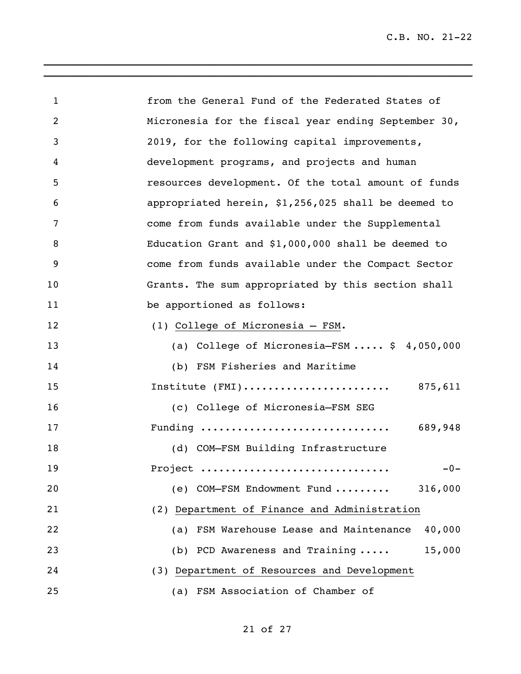| $\mathbf{1}$   | from the General Fund of the Federated States of     |
|----------------|------------------------------------------------------|
| $\overline{2}$ | Micronesia for the fiscal year ending September 30,  |
| 3              | 2019, for the following capital improvements,        |
| 4              | development programs, and projects and human         |
| 5              | resources development. Of the total amount of funds  |
| 6              | appropriated herein, \$1,256,025 shall be deemed to  |
| 7              | come from funds available under the Supplemental     |
| 8              | Education Grant and \$1,000,000 shall be deemed to   |
| 9              | come from funds available under the Compact Sector   |
| 10             | Grants. The sum appropriated by this section shall   |
| 11             | be apportioned as follows:                           |
| 12             | (1) College of Micronesia - FSM.                     |
| 13             | (a) College of Micronesia-FSM $$4,050,000$           |
| 14             | (b) FSM Fisheries and Maritime                       |
| 15             | Institute $(FMI)$ 875,611                            |
| 16             | (c) College of Micronesia-FSM SEG                    |
| 17             | Funding<br>689,948                                   |
| 18             | (d) COM-FSM Building Infrastructure                  |
| 19             | $-0-$<br>Project                                     |
| 20             | (e) COM-FSM Endowment Fund<br>316,000                |
| 21             | (2) Department of Finance and Administration         |
| 22             | FSM Warehouse Lease and Maintenance<br>40,000<br>(a) |
| 23             | 15,000<br>(b) PCD Awareness and Training             |
| 24             | (3) Department of Resources and Development          |
| 25             | (a) FSM Association of Chamber of                    |

 $\mathcal{L}_\text{max} = \mathcal{L}_\text{max} = \mathcal{L}_\text{max} = \mathcal{L}_\text{max} = \mathcal{L}_\text{max} = \mathcal{L}_\text{max} = \mathcal{L}_\text{max} = \mathcal{L}_\text{max}$  $\_$  , and the set of the set of the set of the set of the set of the set of the set of the set of the set of the set of the set of the set of the set of the set of the set of the set of the set of the set of the set of th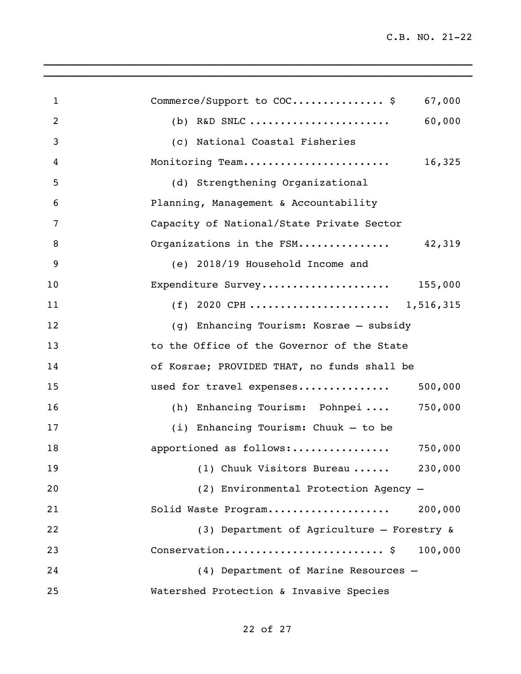| $\mathbf{1}$   | Commerce/Support to COC \$<br>67,000        |
|----------------|---------------------------------------------|
| $\overline{2}$ | 60,000                                      |
| 3              | (c) National Coastal Fisheries              |
| 4              | Monitoring Team<br>16,325                   |
| 5              | (d) Strengthening Organizational            |
| 6              | Planning, Management & Accountability       |
| 7              | Capacity of National/State Private Sector   |
| 8              | Organizations in the FSM 42,319             |
| 9              | (e) 2018/19 Household Income and            |
| 10             | Expenditure Survey 155,000                  |
| 11             | (f) 2020 CPH  1,516,315                     |
| 12             | (g) Enhancing Tourism: Kosrae - subsidy     |
| 13             | to the Office of the Governor of the State  |
| 14             | of Kosrae; PROVIDED THAT, no funds shall be |
| 15             | 500,000<br>used for travel expenses         |
| 16             | (h) Enhancing Tourism: Pohnpei<br>750,000   |
| 17             | $(i)$ Enhancing Tourism: Chuuk - to be      |
| 18             | apportioned as follows:<br>750,000          |
| 19             | (1) Chuuk Visitors Bureau<br>230,000        |
| 20             | (2) Environmental Protection Agency -       |
| 21             | Solid Waste Program<br>200,000              |
| 22             | (3) Department of Agriculture - Forestry &  |
| 23             | Conservation \$<br>100,000                  |
| 24             | (4) Department of Marine Resources -        |
| 25             | Watershed Protection & Invasive Species     |

 $\mathcal{L}_\text{max} = \mathcal{L}_\text{max} = \mathcal{L}_\text{max} = \mathcal{L}_\text{max} = \mathcal{L}_\text{max} = \mathcal{L}_\text{max} = \mathcal{L}_\text{max} = \mathcal{L}_\text{max} = \mathcal{L}_\text{max} = \mathcal{L}_\text{max} = \mathcal{L}_\text{max} = \mathcal{L}_\text{max} = \mathcal{L}_\text{max} = \mathcal{L}_\text{max} = \mathcal{L}_\text{max} = \mathcal{L}_\text{max} = \mathcal{L}_\text{max} = \mathcal{L}_\text{max} = \mathcal{$  $\_$  , and the set of the set of the set of the set of the set of the set of the set of the set of the set of the set of the set of the set of the set of the set of the set of the set of the set of the set of the set of th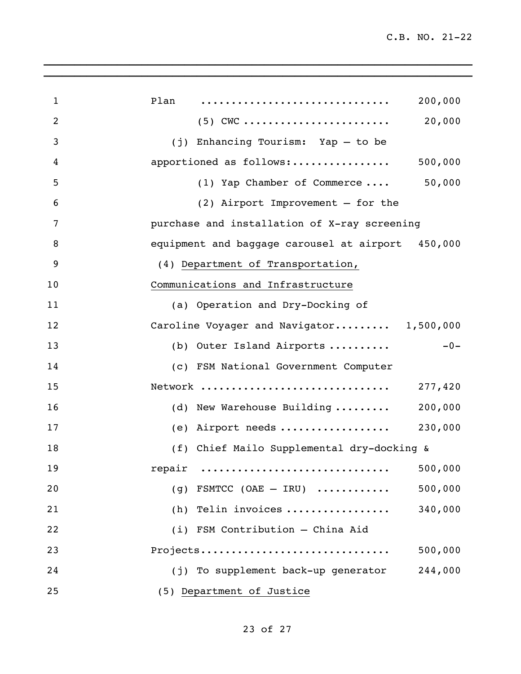| $\mathbf{1}$   | Plan<br>200,000                                   |       |
|----------------|---------------------------------------------------|-------|
| $\overline{2}$ | 20,000                                            |       |
| 3              | $(j)$ Enhancing Tourism: Yap - to be              |       |
| 4              | apportioned as follows:<br>500,000                |       |
| 5              | (1) Yap Chamber of Commerce  50,000               |       |
| 6              | $(2)$ Airport Improvement - for the               |       |
| 7              | purchase and installation of X-ray screening      |       |
| 8              | equipment and baggage carousel at airport 450,000 |       |
| 9              | (4) Department of Transportation,                 |       |
| 10             | Communications and Infrastructure                 |       |
| 11             | (a) Operation and Dry-Docking of                  |       |
| 12             | Caroline Voyager and Navigator 1,500,000          |       |
| 13             | (b) Outer Island Airports                         | $-0-$ |
| 14             | (c) FSM National Government Computer              |       |
| 15             | Network<br>277,420                                |       |
| 16             | (d) New Warehouse Building  200,000               |       |
| 17             | (e) Airport needs  230,000                        |       |
| 18             | (f) Chief Mailo Supplemental dry-docking &        |       |
| 19             | 500,000<br>repair                                 |       |
| 20             | 500,000<br>(g) FSMTCC (OAE $-$ IRU)               |       |
| 21             | (h) Telin invoices<br>340,000                     |       |
| 22             | (i) FSM Contribution - China Aid                  |       |
| 23             | Projects<br>500,000                               |       |
| 24             | (j) To supplement back-up generator<br>244,000    |       |
| 25             | (5) Department of Justice                         |       |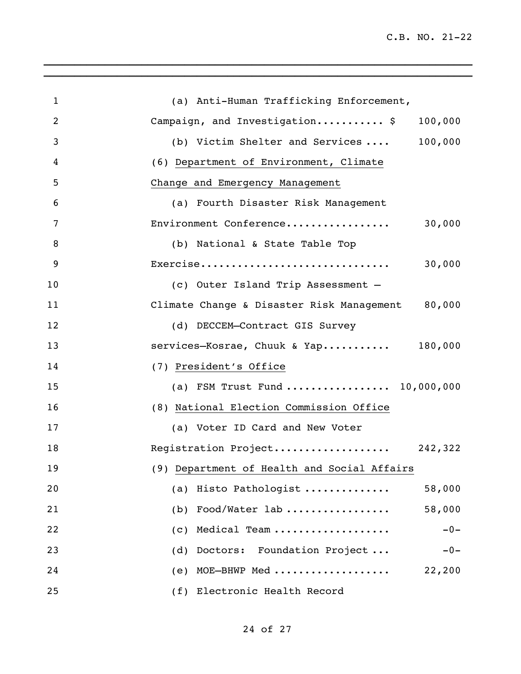| $\mathbf{1}$   | (a) Anti-Human Trafficking Enforcement,          |
|----------------|--------------------------------------------------|
| $\overline{2}$ | Campaign, and Investigation \$<br>100,000        |
| 3              | 100,000<br>(b) Victim Shelter and Services       |
| 4              | (6) Department of Environment, Climate           |
| 5              | Change and Emergency Management                  |
| 6              | (a) Fourth Disaster Risk Management              |
| 7              | Environment Conference<br>30,000                 |
| 8              | (b) National & State Table Top                   |
| 9              | Exercise<br>30,000                               |
| 10             | (c) Outer Island Trip Assessment -               |
| 11             | Climate Change & Disaster Risk Management 80,000 |
| 12             | (d) DECCEM-Contract GIS Survey                   |
| 13             | services-Kosrae, Chuuk & Yap 180,000             |
| 14             | (7) President's Office                           |
| 15             | (a) FSM Trust Fund  10,000,000                   |
| 16             | (8) National Election Commission Office          |
| 17             | (a) Voter ID Card and New Voter                  |
| 18             | Registration Project 242,322                     |
| 19             | (9) Department of Health and Social Affairs      |
| 20             | (a) Histo Pathologist<br>58,000                  |
| 21             | (b) Food/Water $lab$<br>58,000                   |
| 22             | Medical Team<br>$-0-$<br>(c)                     |
| 23             | Doctors: Foundation Project<br>(d)<br>$-0-$      |
| 24             | MOE-BHWP Med<br>22,200<br>(e)                    |
| 25             | (f) Electronic Health Record                     |

 $\mathcal{L}_\text{max} = \mathcal{L}_\text{max} = \mathcal{L}_\text{max} = \mathcal{L}_\text{max} = \mathcal{L}_\text{max} = \mathcal{L}_\text{max} = \mathcal{L}_\text{max} = \mathcal{L}_\text{max} = \mathcal{L}_\text{max} = \mathcal{L}_\text{max} = \mathcal{L}_\text{max} = \mathcal{L}_\text{max} = \mathcal{L}_\text{max} = \mathcal{L}_\text{max} = \mathcal{L}_\text{max} = \mathcal{L}_\text{max} = \mathcal{L}_\text{max} = \mathcal{L}_\text{max} = \mathcal{$  $\_$  , and the set of the set of the set of the set of the set of the set of the set of the set of the set of the set of the set of the set of the set of the set of the set of the set of the set of the set of the set of th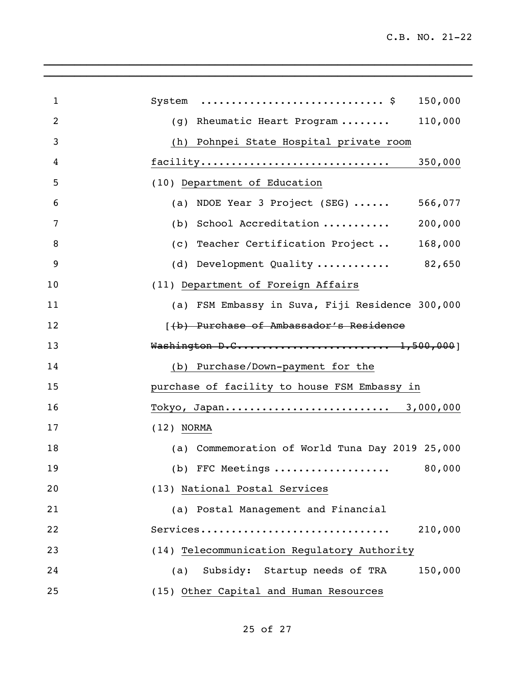| $\mathbf{1}$   | 150,000                                         |
|----------------|-------------------------------------------------|
| $\overline{2}$ | (g) Rheumatic Heart Program<br>110,000          |
| 3              | (h)<br>Pohnpei State Hospital private room      |
| 4              | facility<br>350,000                             |
| 5              | (10) Department of Education                    |
| 6              | (a) NDOE Year 3 Project (SEG)  566,077          |
| 7              | (b) School Accreditation<br>200,000             |
| 8              | (c) Teacher Certification Project 168,000       |
| 9              | (d) Development Quality  82,650                 |
| 10             | (11) Department of Foreign Affairs              |
| 11             | (a) FSM Embassy in Suva, Fiji Residence 300,000 |
| 12             | [(b) Purchase of Ambassador's Residence         |
| 13             | Washington D.C 1,500,000]                       |
| 14             | (b) Purchase/Down-payment for the               |
| 15             | purchase of facility to house FSM Embassy in    |
| 16             | Tokyo, Japan 3,000,000                          |
| 17             | $(12)$ NORMA                                    |
| 18             | (a) Commemoration of World Tuna Day 2019 25,000 |
| 19             | (b) FFC Meetings<br>80,000                      |
| 20             | (13) National Postal Services                   |
| 21             | (a) Postal Management and Financial             |
| 22             | Services<br>210,000                             |
| 23             | (14) Telecommunication Regulatory Authority     |
| 24             | 150,000<br>Subsidy: Startup needs of TRA<br>(a) |
| 25             | (15) Other Capital and Human Resources          |

 $\_$  , and the set of the set of the set of the set of the set of the set of the set of the set of the set of the set of the set of the set of the set of the set of the set of the set of the set of the set of the set of th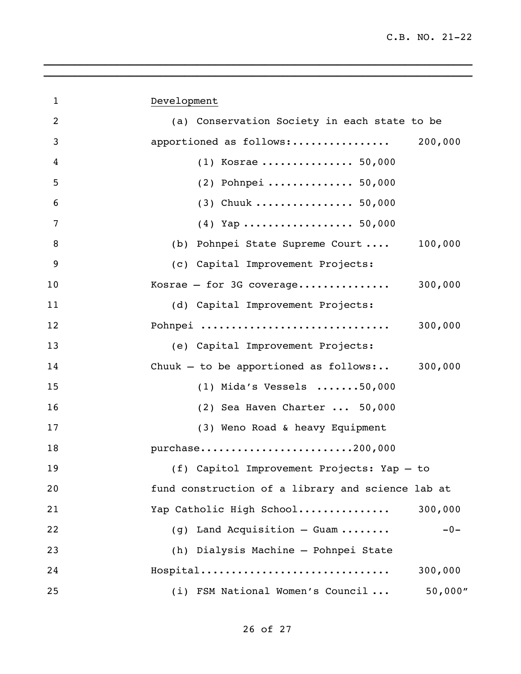| $\mathbf{1}$ | Development                                       |
|--------------|---------------------------------------------------|
| 2            | (a) Conservation Society in each state to be      |
| 3            |                                                   |
| 4            | $(1)$ Kosrae  50,000                              |
| 5            | $(2)$ Pohnpei  50,000                             |
| 6            | $(3)$ Chuuk  50,000                               |
| 7            | $(4)$ Yap  50,000                                 |
| 8            | (b) Pohnpei State Supreme Court  100,000          |
| 9            | (c) Capital Improvement Projects:                 |
| 10           | 300,000<br>Kosrae $-$ for 3G coverage             |
| 11           | (d) Capital Improvement Projects:                 |
| 12           | Pohnpei<br>300,000                                |
| 13           | (e) Capital Improvement Projects:                 |
| 14           | Chuuk - to be apportioned as follows: $300,000$   |
| 15           | $(1)$ Mida's Vessels 50,000                       |
| 16           | (2) Sea Haven Charter  50,000                     |
| 17           | (3) Weno Road & heavy Equipment                   |
| 18           | purchase200,000                                   |
| 19           | (f) Capitol Improvement Projects: Yap - to        |
| 20           | fund construction of a library and science lab at |
| 21           | Yap Catholic High School<br>300,000               |
| 22           | (g) Land Acquisition - Guam<br>$-0-$              |
| 23           | (h) Dialysis Machine - Pohnpei State              |
| 24           | Hospital<br>300,000                               |
| 25           | 50,000''<br>(i) FSM National Women's Council      |